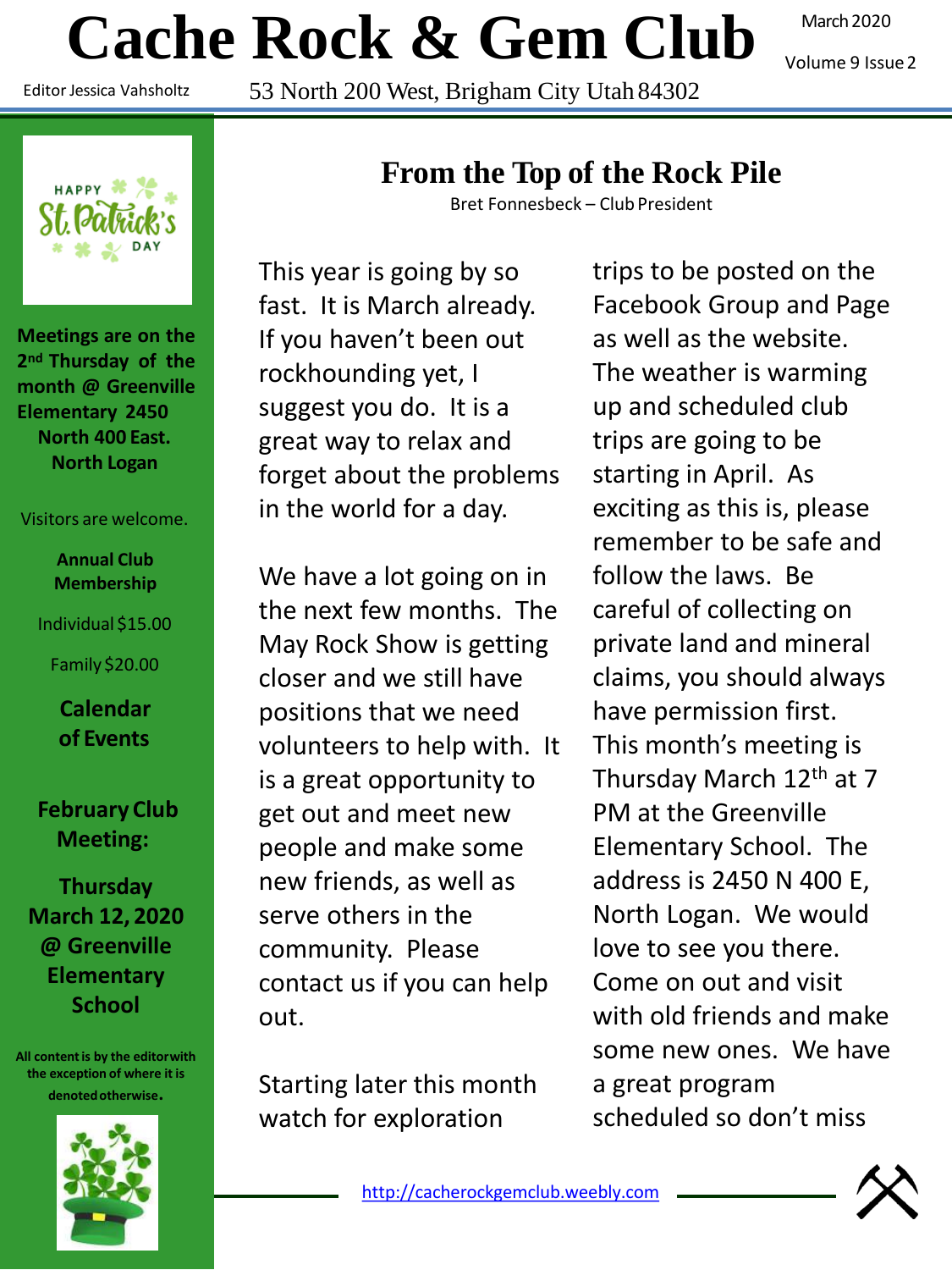# **Cache Rock & Gem Club**

Editor Jessica Vahsholtz

53 North 200 West, Brigham City Utah 84302

March 2020

Volume 9 Issue2



**Meetings are on the 2nd Thursday of the month @ Greenville Elementary 2450 North 400 East. North Logan**

#### Visitors are welcome.

**Annual Club Membership**

#### Individual \$15.00

Family \$20.00

**Calendar of Events**

#### **February Club Meeting:**

**Thursday March 12, 2020 @ Greenville Elementary School**

**All content is by the editorwith the exception of where it is denotedotherwise.**



### **From the Top of the Rock Pile**

Bret Fonnesbeck – Club President

This year is going by so fast. It is March already. If you haven't been out rockhounding yet, I suggest you do. It is a great way to relax and forget about the problems in the world for a day.

We have a lot going on in the next few months. The May Rock Show is getting closer and we still have positions that we need volunteers to help with. It is a great opportunity to get out and meet new people and make some new friends, as well as serve others in the community. Please contact us if you can help out.

Starting later this month watch for exploration

trips to be posted on the Facebook Group and Page as well as the website. The weather is warming up and scheduled club trips are going to be starting in April. As exciting as this is, please remember to be safe and follow the laws. Be careful of collecting on private land and mineral claims, you should always have permission first. This month's meeting is Thursday March 12<sup>th</sup> at 7 PM at the Greenville Elementary School. The address is 2450 N 400 E, North Logan. We would love to see you there. Come on out and visit with old friends and make some new ones. We have a great program scheduled so don't miss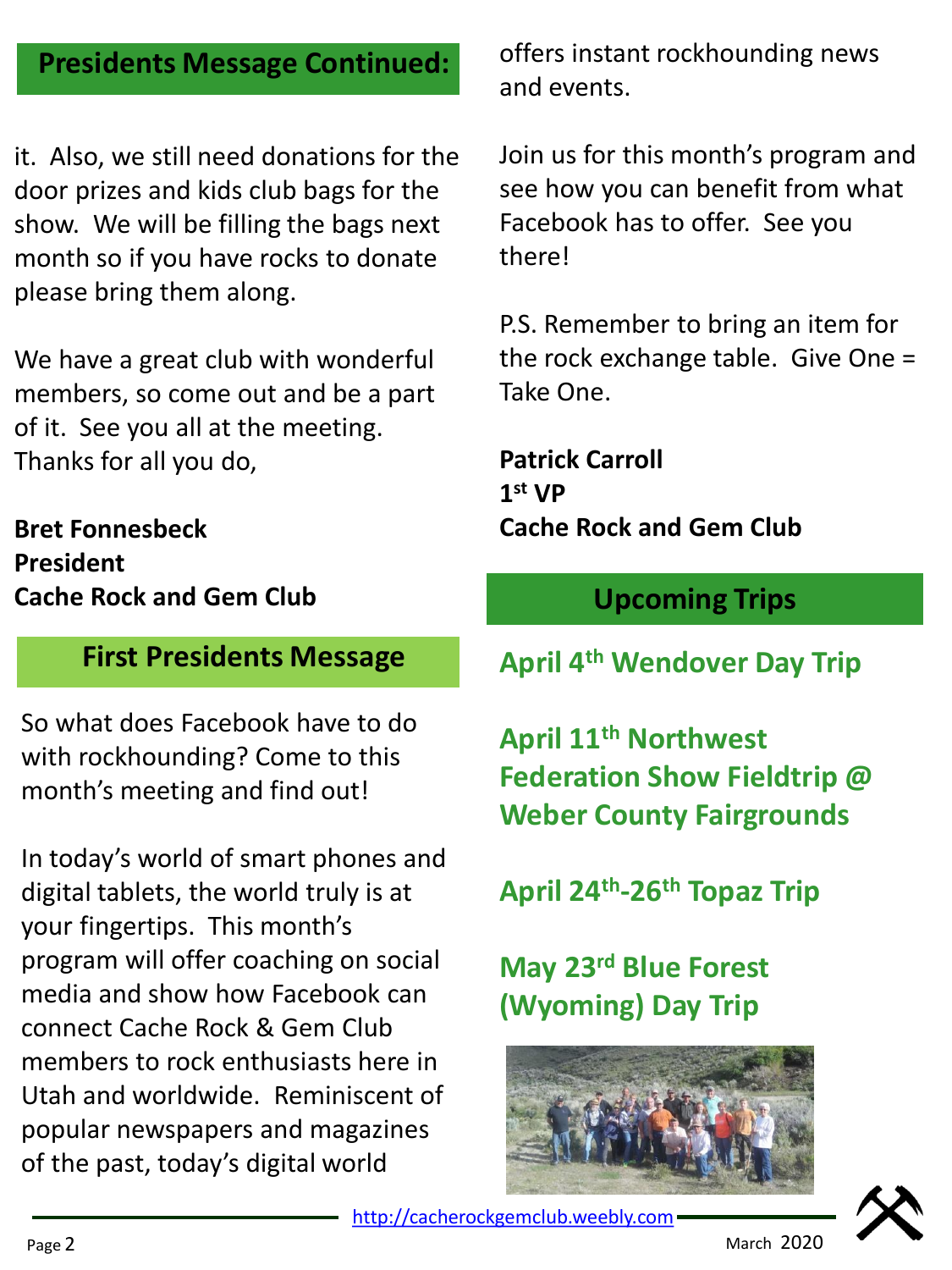## **Presidents Message Continued:**

it. Also, we still need donations for the door prizes and kids club bags for the show. We will be filling the bags next month so if you have rocks to donate please bring them along.

We have a great club with wonderful members, so come out and be a part of it. See you all at the meeting. Thanks for all you do,

**Bret Fonnesbeck President Cache Rock and Gem Club**

### **First Presidents Message**

So what does Facebook have to do with rockhounding? Come to this month's meeting and find out!

In today's world of smart phones and digital tablets, the world truly is at your fingertips. This month's program will offer coaching on social media and show how Facebook can connect Cache Rock & Gem Club members to rock enthusiasts here in Utah and worldwide. Reminiscent of popular newspapers and magazines of the past, today's digital world

offers instant rockhounding news and events.

Join us for this month's program and see how you can benefit from what Facebook has to offer. See you there!

P.S. Remember to bring an item for the rock exchange table. Give One = Take One.

**Patrick Carroll 1 st VP Cache Rock and Gem Club**

# **Upcoming Trips**

**April 4th Wendover Day Trip**

**April 11th Northwest Federation Show Fieldtrip @ Weber County Fairgrounds**

**April 24th -26th Topaz Trip**

**May 23rd Blue Forest (Wyoming) Day Trip**



[http://cacherockgemclub.weebly.com](http://cacherockgemclub.weebly.com/)

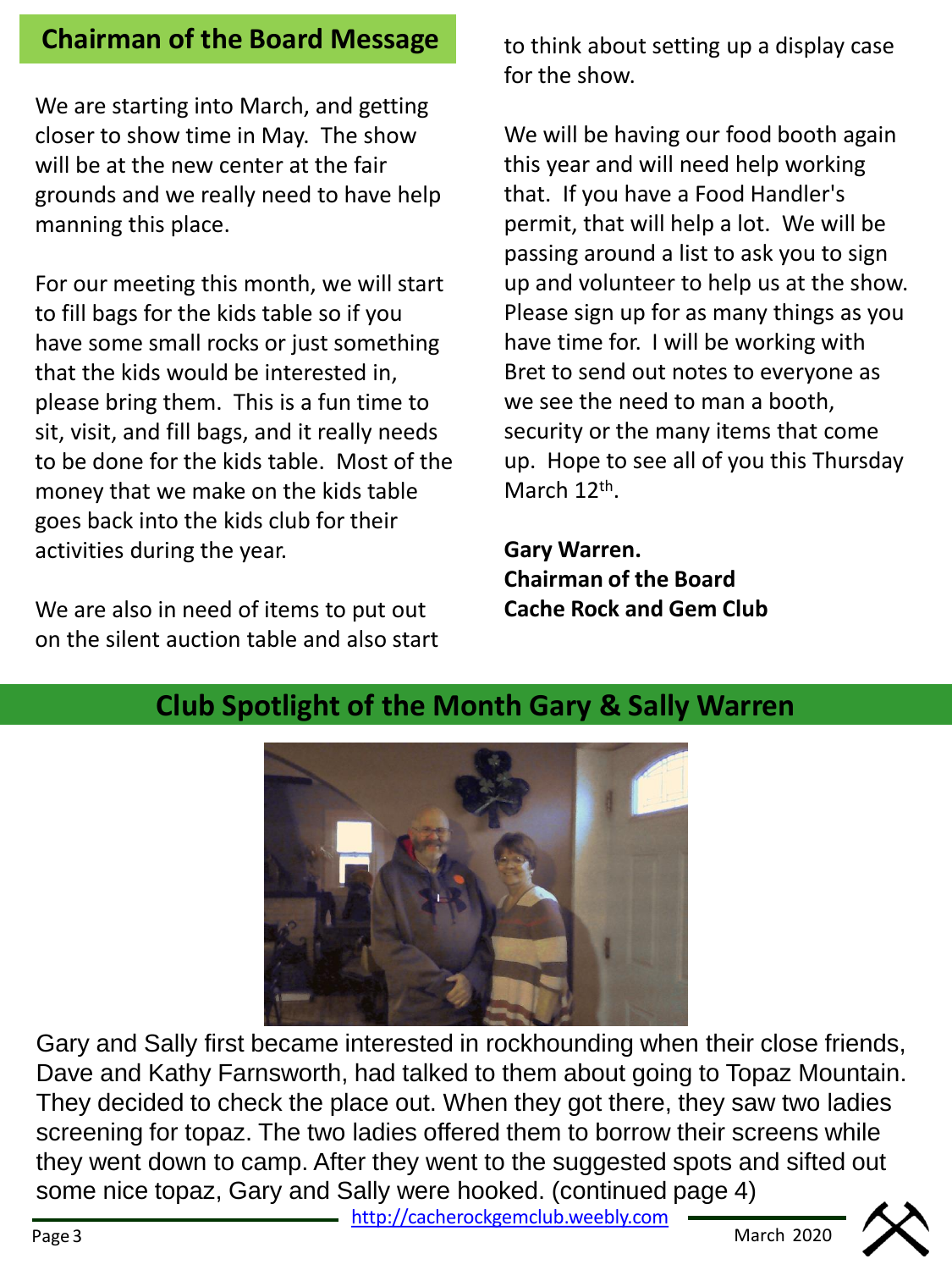### **Chairman of the Board Message** to think about setting up a display case

We are starting into March, and getting closer to show time in May. The show will be at the new center at the fair grounds and we really need to have help manning this place.

For our meeting this month, we will start to fill bags for the kids table so if you have some small rocks or just something that the kids would be interested in, please bring them. This is a fun time to sit, visit, and fill bags, and it really needs to be done for the kids table. Most of the money that we make on the kids table goes back into the kids club for their activities during the year.

We are also in need of items to put out on the silent auction table and also start for the show.

We will be having our food booth again this year and will need help working that. If you have a Food Handler's permit, that will help a lot. We will be passing around a list to ask you to sign up and volunteer to help us at the show. Please sign up for as many things as you have time for. I will be working with Bret to send out notes to everyone as we see the need to man a booth, security or the many items that come up. Hope to see all of you this Thursday March 12<sup>th</sup>.

**Gary Warren. Chairman of the Board Cache Rock and Gem Club**



# **Club Spotlight of the Month Gary & Sally Warren**

Gary and Sally first became interested in rockhounding when their close friends, Dave and Kathy Farnsworth, had talked to them about going to Topaz Mountain. They decided to check the place out. When they got there, they saw two ladies screening for topaz. The two ladies offered them to borrow their screens while they went down to camp. After they went to the suggested spots and sifted out some nice topaz, Gary and Sally were hooked. (continued page 4)

[http://cacherockgemclub.weebly.com](http://cacherockgemclub.weebly.com/)

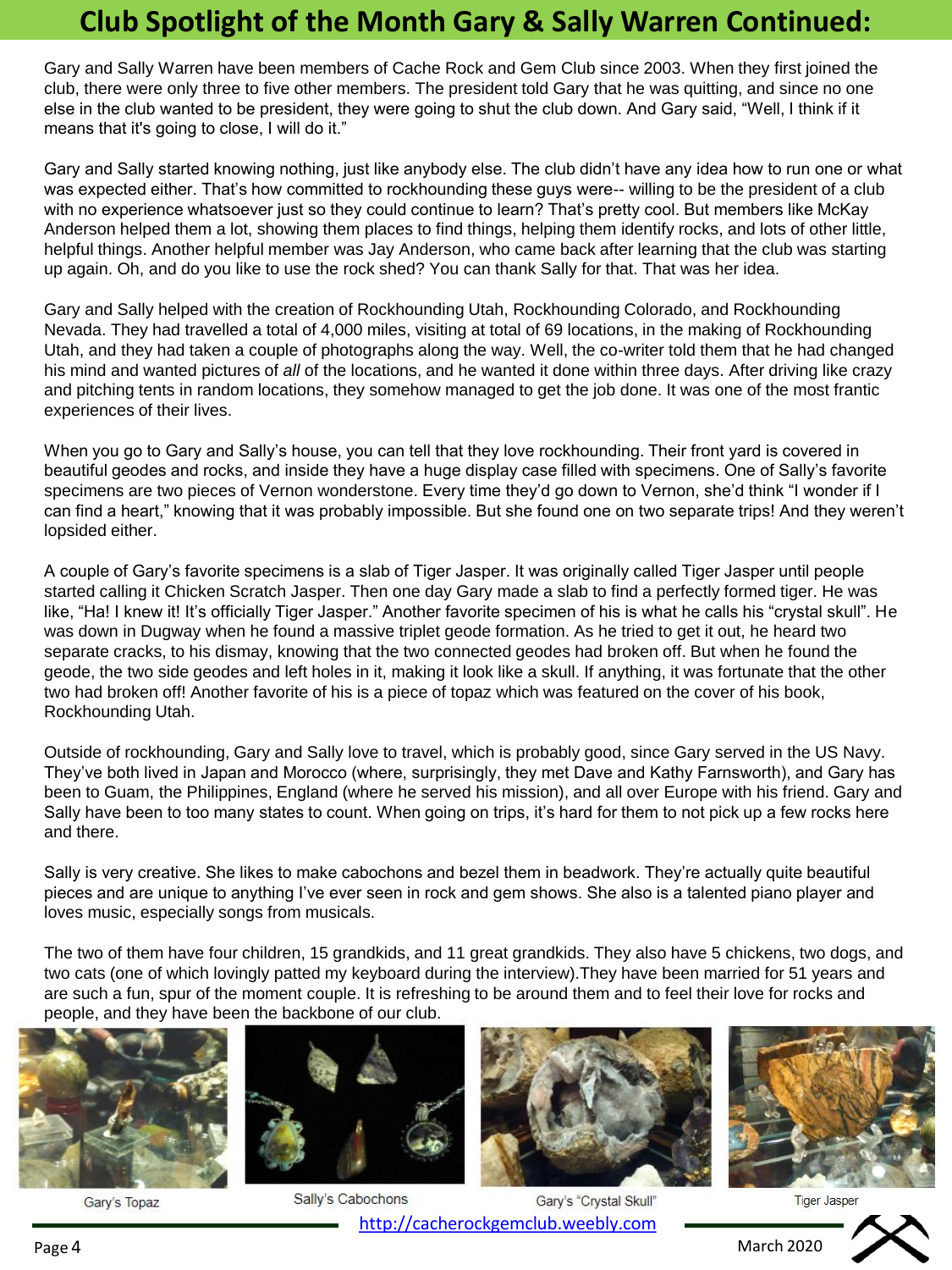# **Club Spotlight of the Month Gary & Sally Warren Continued:**

Gary and Sally Warren have been members of Cache Rock and Gem Club since 2003. When they first joined the club, there were only three to five other members. The president told Gary that he was quitting, and since no one else in the club wanted to be president, they were going to shut the club down. And Gary said, "Well, I think if it means that it's going to close, I will do it."

Gary and Sally started knowing nothing, just like anybody else. The club didn't have any idea how to run one or what was expected either. That's how committed to rockhounding these guys were-- willing to be the president of a club with no experience whatsoever just so they could continue to learn? That's pretty cool. But members like McKay Anderson helped them a lot, showing them places to find things, helping them identify rocks, and lots of other little, helpful things. Another helpful member was Jay Anderson, who came back after learning that the club was starting up again. Oh, and do you like to use the rock shed? You can thank Sally for that. That was her idea.

Gary and Sally helped with the creation of Rockhounding Utah, Rockhounding Colorado, and Rockhounding Nevada. They had travelled a total of 4,000 miles, visiting at total of 69 locations, in the making of Rockhounding Utah, and they had taken a couple of photographs along the way. Well, the co-writer told them that he had changed his mind and wanted pictures of *all* of the locations, and he wanted it done within three days. After driving like crazy and pitching tents in random locations, they somehow managed to get the job done. It was one of the most frantic experiences of their lives.

When you go to Gary and Sally's house, you can tell that they love rockhounding. Their front yard is covered in beautiful geodes and rocks, and inside they have a huge display case filled with specimens. One of Sally's favorite specimens are two pieces of Vernon wonderstone. Every time they'd go down to Vernon, she'd think "I wonder if I can find a heart," knowing that it was probably impossible. But she found one on two separate trips! And they weren't lopsided either.

A couple of Gary's favorite specimens is a slab of Tiger Jasper. It was originally called Tiger Jasper until people started calling it Chicken Scratch Jasper. Then one day Gary made a slab to find a perfectly formed tiger. He was like, "Ha! I knew it! It's officially Tiger Jasper." Another favorite specimen of his is what he calls his "crystal skull". He was down in Dugway when he found a massive triplet geode formation. As he tried to get it out, he heard two separate cracks, to his dismay, knowing that the two connected geodes had broken off. But when he found the geode, the two side geodes and left holes in it, making it look like a skull. If anything, it was fortunate that the other two had broken off! Another favorite of his is a piece of topaz which was featured on the cover of his book, Rockhounding Utah.

Outside of rockhounding, Gary and Sally love to travel, which is probably good, since Gary served in the US Navy. They've both lived in Japan and Morocco (where, surprisingly, they met Dave and Kathy Farnsworth), and Gary has been to Guam, the Philippines, England (where he served his mission), and all over Europe with his friend. Gary and Sally have been to too many states to count. When going on trips, it's hard for them to not pick up a few rocks here and there.

Sally is very creative. She likes to make cabochons and bezel them in beadwork. They're actually quite beautiful pieces and are unique to anything I've ever seen in rock and gem shows. She also is a talented piano player and loves music, especially songs from musicals.

The two of them have four children, 15 grandkids, and 11 great grandkids. They also have 5 chickens, two dogs, and two cats (one of which lovingly patted my keyboard during the interview).They have been married for 51 years and are such a fun, spur of the moment couple. It is refreshing to be around them and to feel their love for rocks and people, and they have been the backbone of our club.



Gary's Topaz



Sally's Cabochons Gary's "Crystal Skull" [http://cacherockgemclub.weebly.com](http://cacherockgemclub.weebly.com/)





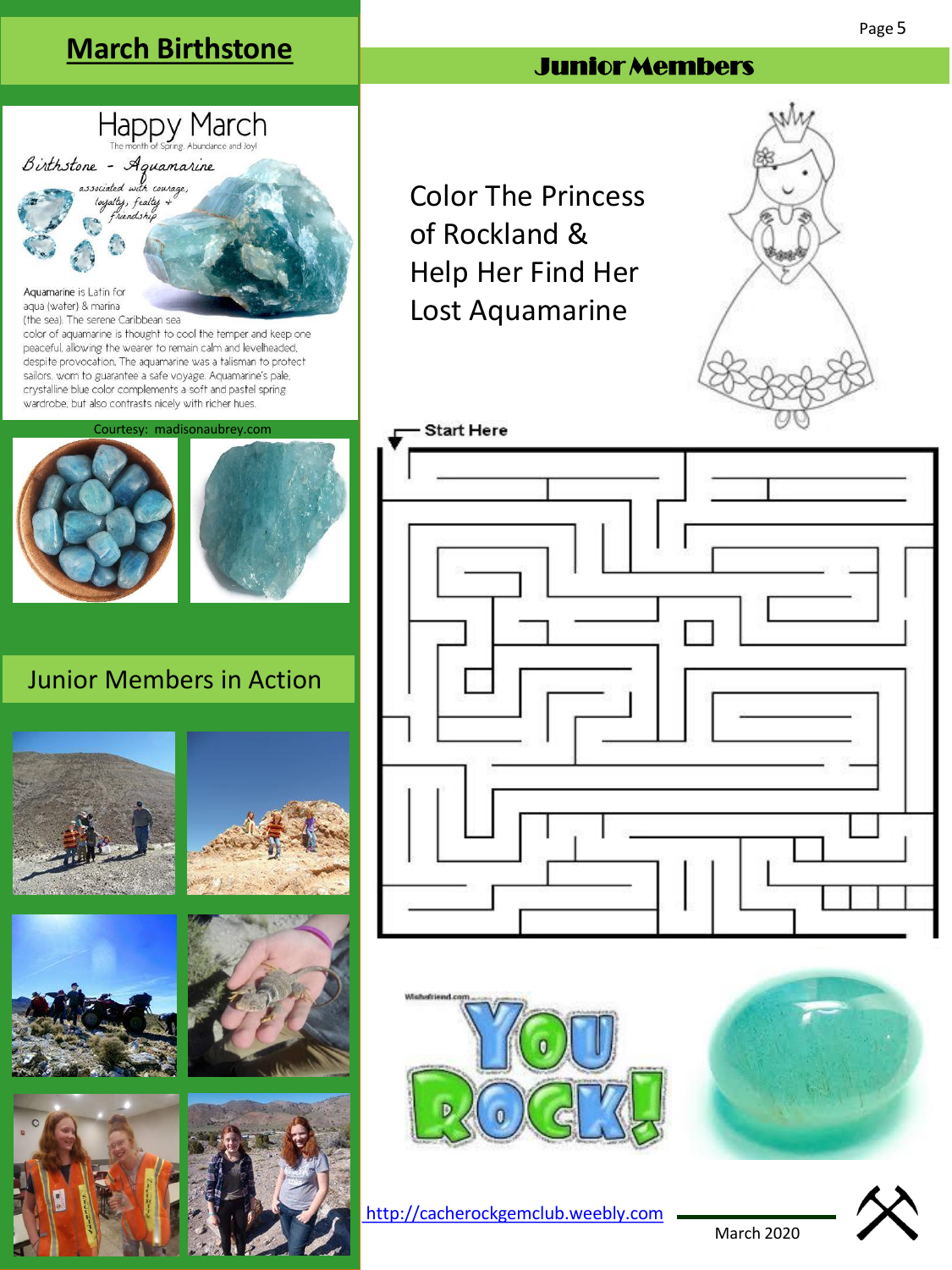# **March Birthstone**

Happy March

Birthstone - Aguamarine associated with courage, loyalty, fealty  $\ast$ riendship

Aquamarine is Latin for aqua (water) & marina (the sea). The serene Caribbean sea

### Junior Members

Color The Princess of Rockland & Help Her Find Her Lost Aquamarine







[http://cacherockgemclub.weebly.com](http://cacherockgemclub.weebly.com/)



March 2020

sailors, worn to guarantee a safe voyage. Aquamarine's pale, crystalline blue color complements a soft and pastel spring **Start Here** 

### Junior Members in Action

Courtesy: madisonaubrey.com

color of aquamarine is thought to cool the temper and keep one peaceful, allowing the wearer to remain calm and levelheaded. despite provocation. The aquamarine was a talisman to protect

wardrobe, but also contrasts nicely with richer hues.











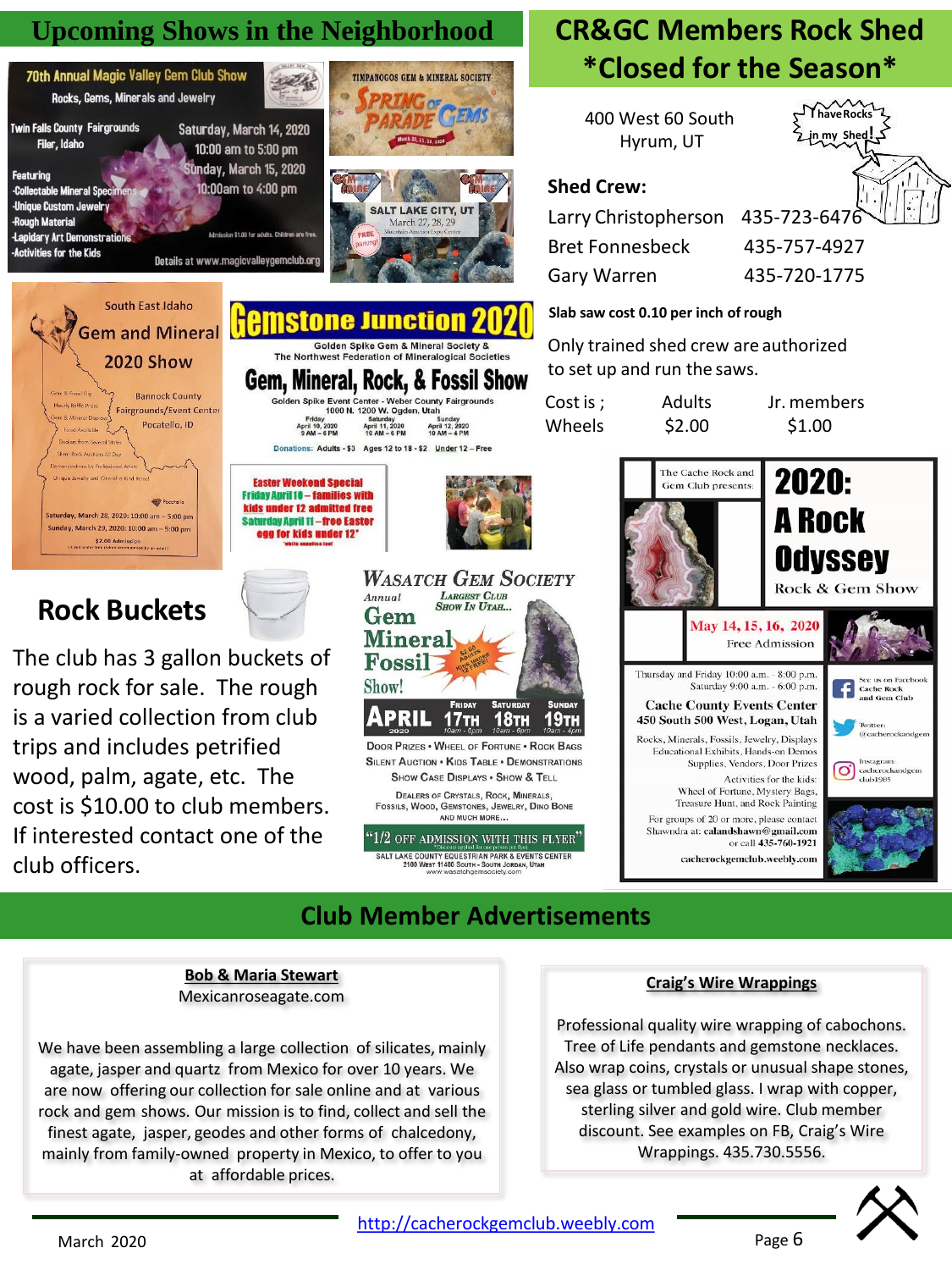

#### **Bob & Maria Stewart** Mexicanroseagate.com

We have been assembling a large collection of silicates, mainly agate, jasper and quartz from Mexico for over 10 years. We are now offering our collection for sale online and at various rock and gem shows. Our mission is to find, collect and sell the finest agate, jasper, geodes and other forms of chalcedony, mainly from family-owned property in Mexico, to offer to you at affordable prices.

#### **Craig's Wire Wrappings**

Professional quality wire wrapping of cabochons. Tree of Life pendants and gemstone necklaces. Also wrap coins, crystals or unusual shape stones, sea glass or tumbled glass. I wrap with copper, sterling silver and gold wire. Club member discount. See examples on FB, Craig's Wire Wrappings. 435.730.5556.